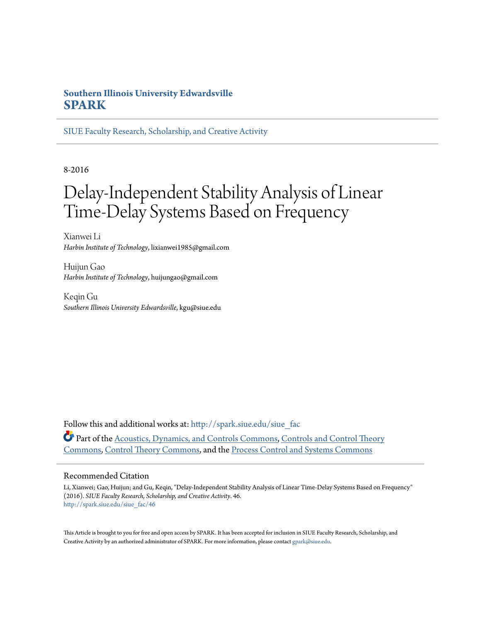## **Southern Illinois University Edwardsville [SPARK](http://spark.siue.edu?utm_source=spark.siue.edu%2Fsiue_fac%2F46&utm_medium=PDF&utm_campaign=PDFCoverPages)**

[SIUE Faculty Research, Scholarship, and Creative Activity](http://spark.siue.edu/siue_fac?utm_source=spark.siue.edu%2Fsiue_fac%2F46&utm_medium=PDF&utm_campaign=PDFCoverPages)

8-2016

# Delay-Independent Stability Analysis of Linear Time-Delay Systems Based on Frequency

Xianwei Li *Harbin Institute of Technology*, lixianwei1985@gmail.com

Huijun Gao *Harbin Institute of Technology*, huijungao@gmail.com

Keqin Gu *Southern Illinois University Edwardsville*, kgu@siue.edu

Follow this and additional works at: [http://spark.siue.edu/siue\\_fac](http://spark.siue.edu/siue_fac?utm_source=spark.siue.edu%2Fsiue_fac%2F46&utm_medium=PDF&utm_campaign=PDFCoverPages) Part of the [Acoustics, Dynamics, and Controls Commons](http://network.bepress.com/hgg/discipline/294?utm_source=spark.siue.edu%2Fsiue_fac%2F46&utm_medium=PDF&utm_campaign=PDFCoverPages), [Controls and Control Theory](http://network.bepress.com/hgg/discipline/269?utm_source=spark.siue.edu%2Fsiue_fac%2F46&utm_medium=PDF&utm_campaign=PDFCoverPages) [Commons,](http://network.bepress.com/hgg/discipline/269?utm_source=spark.siue.edu%2Fsiue_fac%2F46&utm_medium=PDF&utm_campaign=PDFCoverPages) [Control Theory Commons](http://network.bepress.com/hgg/discipline/116?utm_source=spark.siue.edu%2Fsiue_fac%2F46&utm_medium=PDF&utm_campaign=PDFCoverPages), and the [Process Control and Systems Commons](http://network.bepress.com/hgg/discipline/247?utm_source=spark.siue.edu%2Fsiue_fac%2F46&utm_medium=PDF&utm_campaign=PDFCoverPages)

### Recommended Citation

Li, Xianwei; Gao, Huijun; and Gu, Keqin, "Delay-Independent Stability Analysis of Linear Time-Delay Systems Based on Frequency" (2016). *SIUE Faculty Research, Scholarship, and Creative Activity*. 46. [http://spark.siue.edu/siue\\_fac/46](http://spark.siue.edu/siue_fac/46?utm_source=spark.siue.edu%2Fsiue_fac%2F46&utm_medium=PDF&utm_campaign=PDFCoverPages)

This Article is brought to you for free and open access by SPARK. It has been accepted for inclusion in SIUE Faculty Research, Scholarship, and Creative Activity by an authorized administrator of SPARK. For more information, please contact [gpark@siue.edu](mailto:gpark@siue.edu).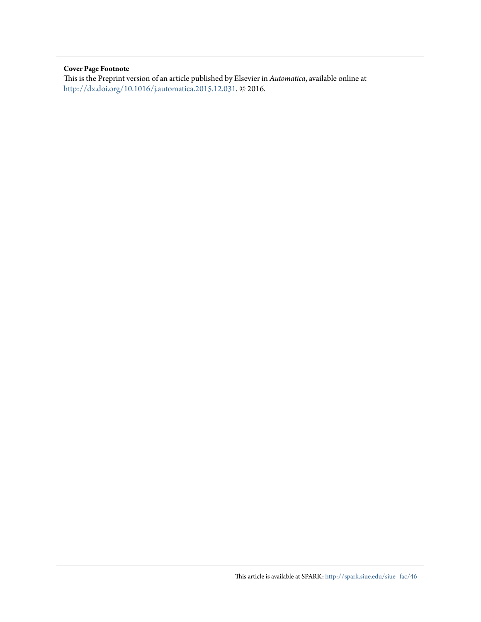## **Cover Page Footnote**

This is the Preprint version of an article published by Elsevier in *Automatica*, available online at <http://dx.doi.org/10.1016/j.automatica.2015.12.031>. © 2016.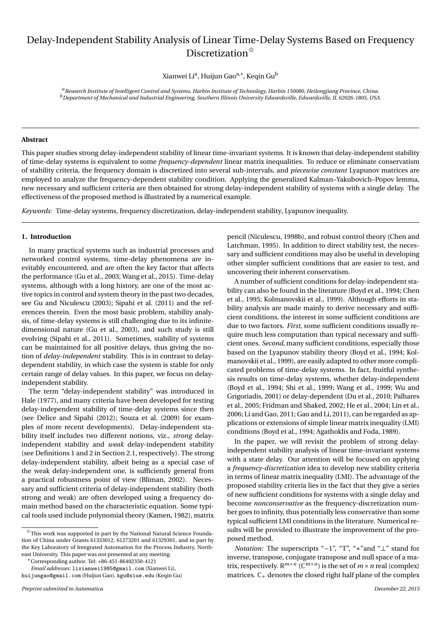# Delay-Independent Stability Analysis of Linear Time-Delay Systems Based on Frequency Discretization<sup> $\hat{\mathbf{x}}$ </sup>

Xianwei Li<sup>a</sup>, Huijun Gao<sup>a,\*</sup>, Keqin Gu<sup>b</sup>

a Research Institute of Intelligent Control and Systems, Harbin Institute of Technology, Harbin 150080, Heilongjiang Province, China. <sup>b</sup> Department of Mechanical and Industrial Engineering, Southern Illinois University Edwardsville, Edwardsville, IL 62026-1805, USA.

#### **Abstract**

This paper studies strong delay-independent stability of linear time-invariant systems. It is known that delay-independent stability of time-delay systems is equivalent to some *frequency-dependent* linear matrix inequalities. To reduce or eliminate conservatism of stability criteria, the frequency domain is discretized into several sub-intervals, and *piecewise constant* Lyapunov matrices are employed to analyze the frequency-dependent stability condition. Applying the generalized Kalman-Yakubovich-Popov lemma, new necessary and sufficient criteria are then obtained for strong delay-independent stability of systems with a single delay. The effectiveness of the proposed method is illustrated by a numerical example.

Keywords: Time-delay systems, frequency discretization, delay-independent stability, Lyapunov inequality.

#### 1. Introduction

In many practical systems such as industrial processes and networked control systems, time-delay phenomena are inevitably encountered, and are often the key factor that affects the performance (Gu et al., 2003; Wang et al., 2015). Time-delay systems, although with a long history, are one of the most active topics in control and system theory in the past two decades, see Gu and Niculescu (2003); Sipahi et al. (2011) and the references therein. Even the most basic problem, stability analysis, of time-delay systems is still challenging due to its infinitedimensional nature (Gu et al., 2003), and such study is still evolving (Sipahi et al., 2011). Sometimes, stability of systems can be maintained for all positive delays, thus giving the notion of *delay-independent* stability. This is in contrast to delaydependent stability, in which case the system is stable for only certain range of delay values. In this paper, we focus on delayindependent stability.

The term "delay-independent stability" was introduced in Hale (1977), and many criteria have been developed for testing delay-independent stability of time-delay systems since then (see Delice and Sipahi (2012); Souza et al. (2009) for examples of more recent developments). Delay-independent stability itself includes two different notions, viz., strong delayindependent stability and *weak* delay-independent stability (see Definitions 1 and 2 in Section 2.1, respectively). The strong delay-independent stability, albeit being as a special case of the weak delay-independent one, is sufficiently general from a practical robustness point of view (Bliman, 2002). Necessary and sufficient criteria of delay-independent stability (both strong and weak) are often developed using a frequency domain method based on the characteristic equation. Some typical tools used include polynomial theory (Kamen, 1982), matrix

\*Corresponding author. Tel: +86-451-86402350-4121

pencil (Niculescu, 1998b), and robust control theory (Chen and Latchman, 1995). In addition to direct stability test, the necessary and sufficient conditions may also be useful in developing other simpler sufficient conditions that are easier to test, and uncovering their inherent conservatism.

A number of sufficient conditions for delay-independent stability can also be found in the literature (Boyd et al., 1994; Chen et al., 1995; Kolmanovskii et al., 1999). Although efforts in stability analysis are made mainly to derive necessary and sufficient conditions, the interest in some sufficient conditions are due to two factors. First, some sufficient conditions usually require much less computation than typical necessary and sufficient ones. Second, many sufficient conditions, especially those based on the Lyapunov stability theory (Boyd et al., 1994; Kolmanovskii et al., 1999), are easily adapted to other more complicated problems of time-delay systems. In fact, fruitful synthesis results on time-delay systems, whether delay-independent (Boyd et al., 1994; Shi et al., 1999; Wang et al., 1999; Wu and Grigoriadis, 2001) or delay-dependent (Du et al., 2010; Palhares et al., 2005; Fridman and Shaked, 2002; He et al., 2004; Lin et al., 2006; Li and Gao, 2011; Gao and Li, 2011), can be regarded as applications or extensions of simple linear matrix inequality (LMI) conditions (Boyd et al., 1994; Agathoklis and Foda, 1989).

In the paper, we will revisit the problem of strong delayindependent stability analysis of linear time-invariant systems with a state delay. Our attention will be focused on applying a frequency-discretization idea to develop new stability criteria in terms of linear matrix inequality (LMI). The advantage of the proposed stability criteria lies in the fact that they give a series of new sufficient conditions for systems with a single delay and become *nonconservative* as the frequency-discretization number goes to infinity, thus potentially less conservative than some typical sufficient LMI conditions in the literature. Numerical results will be provided to illustrate the improvement of the proposed method.

*Notation:* The superscripts " $-1$ ", "T", "\*" and " $\perp$ " stand for inverse, transpose, conjugate transpose and null space of a matrix, respectively.  $\mathbb{R}^{m \times n}$  ( $\mathbb{C}^{m \times n}$ ) is the set of  $m \times n$  real (complex) matrices.  $\mathbb{C}_+$  denotes the closed right half plane of the complex

 $\overleftrightarrow{x}$ This work was supported in part by the National Natural Science Foundation of China under Grants 61333012, 61273201 and 61329301, and in part by the Key Laboratory of Integrated Automation for the Process Industry, Northeast University. This paper was not presented at any meeting.

Email addresses: lixianwei1985@gmail.com (XianweiLi), huijungao@gmail.com (Huijun Gao), kgu@siue.edu (Keqin Gu)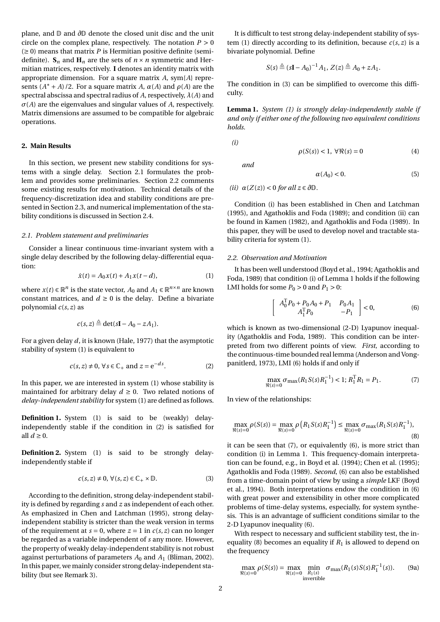plane, and  $\mathbb D$  and  $\partial \mathbb D$  denote the closed unit disc and the unit circle on the complex plane, respectively. The notation  $P > 0$  $(\geq 0)$  means that matrix P is Hermitian positive definite (semidefinite).  $S_n$  and  $H_n$  are the sets of  $n \times n$  symmetric and Hermitian matrices, respectively. I denotes an identity matrix with appropriate dimension. For a square matrix  $A$ , sym{ $A$ } represents  $(A^* + A)/2$ . For a square matrix A,  $\alpha(A)$  and  $\rho(A)$  are the spectral abscissa and spectral radius of A, respectively,  $\lambda(A)$  and  $\sigma(A)$  are the eigenvalues and singular values of A, respectively. Matrix dimensions are assumed to be compatible for algebraic operations.

#### 2. Main Results

In this section, we present new stability conditions for systems with a single delay. Section 2.1 formulates the problem and provides some preliminaries. Section 2.2 comments some existing results for motivation. Technical details of the frequency-discretization idea and stability conditions are presented in Section 2.3, and numerical implementation of the stability conditions is discussed in Section 2.4.

#### 2.1. Problem statement and preliminaries

Consider a linear continuous time-invariant system with a single delay described by the following delay-differential equation:

$$
\dot{x}(t) = A_0 x(t) + A_1 x(t - d),
$$
\n(1)

where  $x(t) \in \mathbb{R}^n$  is the state vector,  $A_0$  and  $A_1 \in \mathbb{R}^{n \times n}$  are known constant matrices, and  $d \ge 0$  is the delay. Define a bivariate polynomial  $c(s, z)$  as

$$
c(s, z) \triangleq \det(s\mathbf{I} - A_0 - zA_1).
$$

For a given delay  $d$ , it is known (Hale, 1977) that the asymptotic stability of system (1) is equivalent to

$$
c(s, z) \neq 0, \forall s \in \mathbb{C}_+ \text{ and } z = e^{-ds}.
$$
 (2)

In this paper, we are interested in system (1) whose stability is maintained for arbitrary delay  $d \ge 0$ . Two related notions of delay-independent stability for system (1) are defined as follows.

**Definition 1.** System (1) is said to be (weakly) delayindependently stable if the condition in (2) is satisfied for all  $d \geq 0$ .

**Definition 2.** System (1) is said to be strongly delayindependently stable if

$$
c(s, z) \neq 0, \forall (s, z) \in \mathbb{C}_+ \times \mathbb{D}.\tag{3}
$$

According to the definition, strong delay-independent stability is defined by regarding  $s$  and  $z$  as independent of each other. As emphasized in Chen and Latchman (1995), strong delayindependent stability is stricter than the weak version in terms of the requirement at  $s = 0$ , where  $z = 1$  in  $c(s, z)$  can no longer be regarded as a variable independent of s any more. However, the property of weakly delay-independent stability is not robust against perturbations of parameters  $A_0$  and  $A_1$  (Bliman, 2002). In this paper, we mainly consider strong delay-independent stability (but see Remark 3).

It is difficult to test strong delay-independent stability of system (1) directly according to its definition, because  $c(s, z)$  is a bivariate polynomial. Define

$$
S(s) \triangleq (sI - A_0)^{-1} A_1, Z(z) \triangleq A_0 + zA_1.
$$

The condition in (3) can be simplified to overcome this difficulty.

**Lemma 1.** System (1) is strongly delay-independently stable if and only if either one of the following two equivalent conditions holds.

 $(i)$ 

$$
\rho(S(s)) < 1, \ \forall \Re(s) = 0 \tag{4}
$$

and

$$
\alpha(A_0) < 0. \tag{5}
$$

(ii)  $\alpha(Z(z)) < 0$  for all  $z \in \partial \mathbb{D}$ .

Condition (i) has been established in Chen and Latchman (1995), and Agathoklis and Foda (1989); and condition (ii) can be found in Kamen (1982), and Agathoklis and Foda (1989). In this paper, they will be used to develop novel and tractable stability criteria for system (1).

#### 2.2. Observation and Motivation

It has been well understood (Boyd et al., 1994; Agathoklis and Foda, 1989) that condition (i) of Lemma 1 holds if the following LMI holds for some  $P_0 > 0$  and  $P_1 > 0$ :

$$
\begin{bmatrix} A_0^{\mathrm{T}} P_0 + P_0 A_0 + P_1 & P_0 A_1 \ A_1^{\mathrm{T}} P_0 & -P_1 \end{bmatrix} < 0,
$$
 (6)

which is known as two-dimensional (2-D) Lyapunov inequality (Agathoklis and Foda, 1989). This condition can be interpreted from two different points of view. First, according to the continuous-time bounded real lemma (Anderson and Vongpanitlerd, 1973), LMI (6) holds if and only if

$$
\max_{\Re(s)=0} \sigma_{\max}(R_1 S(s) R_1^{-1}) < 1; R_1^{\mathrm{T}} R_1 = P_1. \tag{7}
$$

In view of the relationships:

$$
\max_{\Re(s)=0} \rho(S(s)) = \max_{\Re(s)=0} \rho\left(R_1 S(s) R_1^{-1}\right) \le \max_{\Re(s)=0} \sigma_{\max}(R_1 S(s) R_1^{-1}),
$$
\n(8)

it can be seen that  $(7)$ , or equivalently  $(6)$ , is more strict than condition (i) in Lemma 1. This frequency-domain interpretation can be found, e.g., in Boyd et al. (1994); Chen et al. (1995); Agathoklis and Foda (1989). Second, (6) can also be established from a time-domain point of view by using a *simple* LKF (Boyd et al., 1994). Both interpretations endow the condition in (6) with great power and extensibility in other more complicated problems of time-delay systems, especially, for system synthesis. This is an advantage of sufficient conditions similar to the 2-D Lyapunov inequality (6).

With respect to necessary and sufficient stability test, the inequality (8) becomes an equality if  $R_1$  is allowed to depend on the frequency

$$
\max_{\Re(s)=0} \rho(S(s)) = \max_{\Re(s)=0} \min_{\substack{R_1(s) \\ \text{invertible}}} \sigma_{\max}(R_1(s)S(s)R_1^{-1}(s)).
$$
 (9a)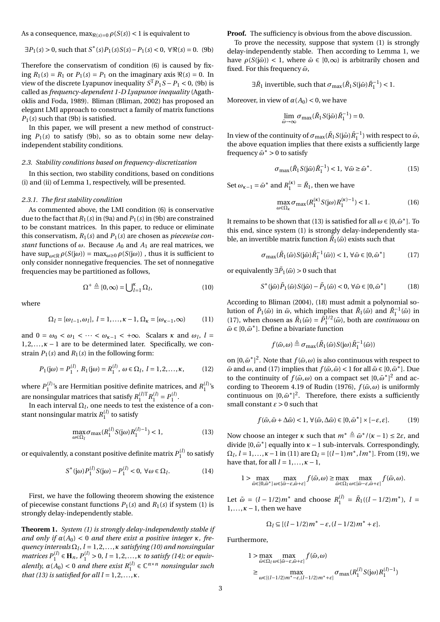As a consequence,  $\max_{\Re(s)=0} \rho(S(s)) < 1$  is equivalent to

$$
\exists P_1(s) > 0, \text{ such that } S^*(s)P_1(s)S(s) - P_1(s) < 0, \forall \Re(s) = 0. \tag{9b}
$$

Therefore the conservatism of condition (6) is caused by fixing  $R_1(s) = R_1$  or  $P_1(s) = P_1$  on the imaginary axis  $\Re(s) = 0$ . In view of the discrete Lyapunov inequality  $S^{T}P_1S - P_1 < 0$ , (9b) is called as frequency-dependent 1-D Lyapunov inequality (Agathoklis and Foda, 1989). Bliman (Bliman, 2002) has proposed an elegant LMI approach to construct a family of matrix functions  $P_1(s)$  such that (9b) is satisfied.

In this paper, we will present a new method of constructing  $P_1(s)$  to satisfy (9b), so as to obtain some new delayindependent stability conditions.

#### 2.3. Stability conditions based on frequency-discretization

In this section, two stability conditions, based on conditions (i) and (ii) of Lemma 1, respectively, will be presented.

#### 2.3.1. The first stability condition

As commented above, the LMI condition (6) is conservative due to the fact that  $R_1(s)$  in (9a) and  $P_1(s)$  in (9b) are constrained to be constant matrices. In this paper, to reduce or eliminate this conservatism,  $R_1(s)$  and  $P_1(s)$  are chosen as *piecewise constant* functions of  $\omega$ . Because  $A_0$  and  $A_1$  are real matrices, we have  $\sup_{\omega \in \mathbb{R}} \rho(S(j\omega)) = \max_{\omega \geq 0} \rho(S(j\omega))$ , thus it is sufficient to only consider nonnegative frequencies. The set of nonnegative frequencies may be partitioned as follows,

$$
\Omega^+ \triangleq [0, \infty) = \bigcup_{l=1}^{\kappa} \Omega_l,\tag{10}
$$

where

$$
\Omega_l=[\omega_{l-1},\omega_l],\ l=1,\ldots,\kappa-1,\Omega_\kappa=[\omega_{\kappa-1},\infty)\qquad \quad \ (11)
$$

and  $0 = \omega_0 < \omega_1 < \cdots < \omega_{\kappa-1} < +\infty$ . Scalars  $\kappa$  and  $\omega_l$ ,  $l =$  $1, 2, \ldots, \kappa - 1$  are to be determined later. Specifically, we constrain  $P_1(s)$  and  $R_1(s)$  in the following form:

$$
P_1(j\omega) = P_1^{(l)}, R_1(j\omega) = R_1^{(l)}, \omega \in \Omega_l, l = 1, 2, ..., \kappa,
$$
 (12)

where  $P_1^{(l)}$ 's are Hermitian positive definite matrices, and  $R_1^{(l)}$ 's are nonsingular matrices that satisfy  $R_1^{(l)T} R_1^{(l)} = P_1^{(l)}$ .

In each interval  $\Omega_l$  , one needs to test the existence of a constant nonsingular matrix  $R_1^{(l)}$  to satisfy

$$
\max_{\omega \in \Omega_l} \sigma_{\max}(R_1^{(l)} S(j\omega) R_1^{(l)-1}) < 1,\tag{13}
$$

or equivalently, a constant positive definite matrix  $P_1^{(l)}$  to satisfy

$$
S^*(j\omega)P_1^{(l)}S(j\omega) - P_1^{(l)} < 0, \ \forall \omega \in \Omega_l.
$$
 (14)

First, we have the following theorem showing the existence of piecewise constant functions  $P_1(s)$  and  $R_1(s)$  if system (1) is strongly delay-independently stable.

**Theorem 1.** System  $(1)$  is strongly delay-independently stable if and only if  $\alpha(A_0) < 0$  and there exist a positive integer  $\kappa$ , frequency intervals  $\Omega_l$ ,  $l = 1, 2, ..., \kappa$  satisfying (10) and nonsingular matrices  $P_1^{(l)} \in H_n$ ,  $P_1^{(l)} > 0$ ,  $l = 1, 2, ..., \kappa$  to satisfy (14); or equivalently,  $\alpha(A_0) < 0$  and there exist  $R_1^{(l)} \in \mathbb{C}^{n \times n}$  nonsingular such that (13) is satisfied for all  $l = 1, 2, ..., \kappa$ .

**Proof.** The sufficiency is obvious from the above discussion.

To prove the necessity, suppose that system (1) is strongly delay-independently stable. Then according to Lemma 1, we have  $\rho(S(i\bar{\omega}))$  < 1, where  $\bar{\omega} \in [0,\infty)$  is arbitrarily chosen and fixed. For this frequency  $\bar{\omega}$ ,

$$
\exists \bar{R}_1
$$
 invertible, such that  $\sigma_{\text{max}}(\bar{R}_1 S(i\bar{\omega})\bar{R}_1^{-1}) < 1$ .

Moreover, in view of  $\alpha(A_0) < 0$ , we have

$$
\lim_{\bar{\omega}\to\infty}\sigma_{\max}(\bar{R}_1S(j\bar{\omega})\bar{R}_1^{-1})=0.
$$

In view of the continuity of  $\sigma_{\text{max}}(\bar{R}_1 S(j\bar{\omega})\bar{R}_1^{-1})$  with respect to  $\bar{\omega}$ , the above equation implies that there exists a sufficiently large frequency  $\bar{\omega}^* > 0$  to satisfy

$$
\sigma_{\text{max}}(\bar{R}_1 S(j\bar{\omega})\bar{R}_1^{-1}) < 1, \ \forall \bar{\omega} \ge \bar{\omega}^*. \tag{15}
$$

Set  $\omega_{\kappa-1} = \bar{\omega}^*$  and  $R_1^{(\kappa)} = \bar{R}_1$ , then we have

$$
\max_{\omega \in \Omega_{\kappa}} \sigma_{\max}(R_1^{(\kappa)} S(j\omega) R_1^{(\kappa)-1}) < 1. \tag{16}
$$

It remains to be shown that (13) is satisfied for all  $\omega \in [0, \bar{\omega}^*]$ . To this end, since system (1) is strongly delay-independently stable, an invertible matrix function  $\tilde{R}_1(\tilde{\omega})$  exists such that

$$
\sigma_{\max}(\tilde{R}_1(\tilde{\omega})S(\tilde{\omega})\tilde{R}_1^{-1}(\tilde{\omega})) < 1, \,\forall \tilde{\omega} \in [0, \bar{\omega}^*] \tag{17}
$$

or equivalently  $\exists \tilde{P}_1(\tilde{\omega}) > 0$  such that

$$
S^{\ast}(\tilde{\mathbf{j}}\tilde{\omega})\tilde{P}_1(\tilde{\omega})S(\tilde{\mathbf{j}}\tilde{\omega}) - \tilde{P}_1(\tilde{\omega}) < 0, \,\forall \tilde{\omega} \in [0, \bar{\omega}^{\ast}] \tag{18}
$$

According to Bliman (2004), (18) must admit a polynomial solution of  $\tilde{P}_1(\tilde{\omega})$  in  $\tilde{\omega}$ , which implies that  $\tilde{R}_1(\tilde{\omega})$  and  $\tilde{R}_1^{-1}(\tilde{\omega})$  in (17), when chosen as  $\tilde{R}_1(\tilde{\omega}) = \tilde{P}_1^{1/2}(\tilde{\omega})$ , both are *continuous* on  $\tilde{\omega} \in [0, \bar{\omega}^*]$ . Define a bivariate function

$$
f(\tilde{\omega}, \omega) \stackrel{\triangle}{=} \sigma_{\max}(\tilde{R}_1(\tilde{\omega}) S(j\omega) \tilde{R}_1^{-1}(\tilde{\omega}))
$$

on  $[0,\bar{\omega}^*]^2$ . Note that  $f(\tilde{\omega}, \omega)$  is also continuous with respect to  $\tilde{\omega}$  and  $\omega$ , and (17) implies that  $f(\tilde{\omega}, \tilde{\omega}) < 1$  for all  $\tilde{\omega} \in [0, \bar{\omega}^*]$ . Due to the continuity of  $f(\tilde{\omega}, \omega)$  on a compact set  $[0, \bar{\omega}^*]^2$  and according to Theorem 4.19 of Rudin (1976),  $f(\tilde{\omega}, \omega)$  is uniformly continuous on  $[0,\bar{\omega}^*]^2$ . Therefore, there exists a sufficiently small constant  $\varepsilon > 0$  such that

$$
f(\tilde{\omega}, \tilde{\omega} + \Delta \tilde{\omega}) < 1, \ \forall (\tilde{\omega}, \Delta \tilde{\omega}) \in [0, \bar{\omega}^*] \times [-\varepsilon, \varepsilon]. \tag{19}
$$

Now choose an integer  $\kappa$  such that  $m^* \triangleq \bar{\omega}^*/(\kappa - 1) \leq 2\varepsilon$ , and divide  $[0, \bar{\omega}^*]$  equally into  $\kappa - 1$  sub-intervals. Correspondingly,  $\Omega_l$ ,  $l = 1, ..., \kappa - 1$  in (11) are  $\Omega_l = [(l-1)m^*, lm^*]$ . From (19), we have that, for all  $l = 1, ..., \kappa - 1$ ,

$$
1 > \max_{\tilde{\omega} \in [0,\tilde{\omega}^*]}\max_{\omega \in [\tilde{\omega}-\varepsilon,\tilde{\omega}+\varepsilon]} f(\tilde{\omega},\omega) \ge \max_{\tilde{\omega} \in \Omega_l}\max_{\omega \in [\tilde{\omega}-\varepsilon,\tilde{\omega}+\varepsilon]} f(\tilde{\omega},\omega).
$$

Let  $\tilde{\omega} = (l - 1/2)m^*$  and choose  $R_1^{(l)} = \tilde{R}_1((l - 1/2)m^*), l =$  $1, \ldots, \kappa - 1$ , then we have

$$
\Omega_l \subseteq [(l-1/2)m^* - \varepsilon, (l-1/2)m^* + \varepsilon].
$$

Furthermore,

$$
1 > \max_{\tilde{\omega} \in \Omega_l} \max_{\omega \in [\tilde{\omega} - \varepsilon, \tilde{\omega} + \varepsilon]} f(\tilde{\omega}, \omega)
$$
  
\n
$$
\geq \max_{\omega \in [(l-1/2)m^* - \varepsilon, (l-1/2)m^* + \varepsilon]} \sigma_{\max}(R_1^{(l)} S(j\omega) R_1^{(l)-1})
$$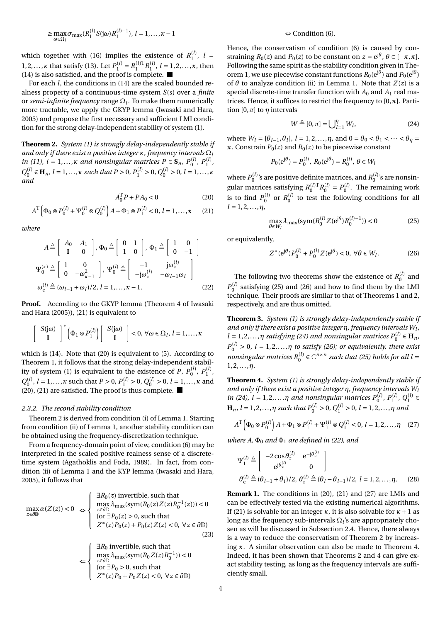$$
\geq \max_{\omega \in \Omega_l} \sigma_{\max}(R_1^{(l)} S(j\omega) R_1^{(l)-1}), l = 1, \ldots, \kappa - 1
$$

which together with (16) implies the existence of  $R_1^{(l)}$ ,  $l = 1, 2, ..., \kappa$  that satisfy (13). Let  $P_1^{(l)} = R_1^{(l)T} R_1^{(l)}$ ,  $l = 1, 2, ..., \kappa$ , then  $(14)$  is also satisfied, and the proof is complete.

For each  $l$ , the conditions in (14) are the scaled bounded realness property of a continuous-time system  $S(s)$  over a *finite* or semi-infinite frequency range  $\Omega_l$ . To make them numerically more tractable, we apply the GKYP lemma (Iwasaki and Hara, 2005) and propose the first necessary and sufficient LMI condition for the strong delay-independent stability of system (1).

Theorem 2. System (1) is strongly delay-independently stable if and only if there exist a positive integer  $\kappa$ , frequency intervals  $\Omega_l$ in (11),  $l = 1,..., \kappa$  and nonsingular matrices  $P \in S_n$ ,  $P_0^{(l)}$ ,  $P_1^{(l)}$ ,  $Q_0^{(l)} \in \mathbf{H}_n$ ,  $l = 1,..., \kappa$  such that  $P > 0$ ,  $P_1^{(l)} > 0$ ,  $Q_0^{(l)} > 0$ ,  $l = 1,..., \kappa$ and

$$
A_0^{\mathrm{T}}P + PA_0 < 0 \tag{20}
$$

$$
A^{T} \left( \Phi_0 \otimes P_0^{(l)} + \Psi_0^{(l)} \otimes Q_0^{(l)} \right) A + \Phi_1 \otimes P_1^{(l)} < 0, \ l = 1, \dots, \kappa \tag{21}
$$

where

$$
A \triangleq \begin{bmatrix} A_0 & A_1 \\ \mathbf{I} & 0 \end{bmatrix}, \Phi_0 \triangleq \begin{bmatrix} 0 & 1 \\ 1 & 0 \end{bmatrix}, \Phi_1 \triangleq \begin{bmatrix} 1 & 0 \\ 0 & -1 \end{bmatrix}
$$

$$
\Psi_0^{(\kappa)} \triangleq \begin{bmatrix} 1 & 0 \\ 0 & -\omega_{\kappa-1}^2 \end{bmatrix}, \Psi_0^{(l)} \triangleq \begin{bmatrix} -1 & j\omega_c^{(l)} \\ -j\omega_c^{(l)} & -\omega_{l-1}\omega_l \end{bmatrix}
$$

$$
\omega_c^{(l)} \triangleq (\omega_{l-1} + \omega_l)/2, l = 1, ..., \kappa - 1.
$$
 (22)

**Proof.** According to the GKYP lemma (Theorem 4 of Iwasaki and Hara (2005)), (21) is equivalent to

$$
\begin{bmatrix} S(j\omega) \\ \mathbf{I} \end{bmatrix}^* \left(\Phi_1 \otimes P_1^{(l)}\right) \begin{bmatrix} S(j\omega) \\ \mathbf{I} \end{bmatrix} < 0, \forall \omega \in \Omega_l, l = 1, \dots, \kappa
$$

which is  $(14)$ . Note that  $(20)$  is equivalent to  $(5)$ . According to Theorem 1, it follows that the strong delay-independent stability of system (1) is equivalent to the existence of *P*,  $P_0^{(l)}$ ,  $P_1^{(l)}$ ,  $Q_0^{(l)}$ ,  $l = 1,..., \kappa$  such that  $P > 0$ ,  $P_1^{(l)} > 0$ ,  $Q_0^{(l)} > 0$ ,  $l = 1,..., \kappa$  and (20), (21) are satisfied. The proof is thus complete.

#### 2.3.2. The second stability condition

Theorem 2 is derived from condition (i) of Lemma 1. Starting from condition (ii) of Lemma 1, another stability condition can be obtained using the frequency-discretization technique.

From a frequency-domain point of view, condition (6) may be interpreted in the scaled positive realness sense of a discretetime system (Agathoklis and Foda, 1989). In fact, from condition (ii) of Lemma 1 and the KYP lemma (Iwasaki and Hara, 2005), it follows that

$$
\max_{z \in \partial \mathbb{D}} \alpha(Z(z)) < 0 \Leftrightarrow \begin{cases} \exists R_0(z) \text{ invertible, such that} \\ \max_{z \in \partial \mathbb{D}} \lambda_{\max}(\text{sym}(R_0(z)Z(z)R_0^{-1}(z))) < 0 \\ (\text{or } \exists P_0(z) > 0, \text{ such that} \\ Z^*(z)P_0(z) + P_0(z)Z(z) < 0, \forall z \in \partial \mathbb{D}) \end{cases} \tag{23}
$$
\n
$$
\leftarrow \begin{cases} \exists R_0 \text{ invertible, such that} \\ \max_{z \in \partial \mathbb{D}} \lambda_{\max}(\text{sym}(R_0 Z(z)R_0^{-1})) < 0 \\ (\text{or } \exists P_0 > 0, \text{ such that} \\ Z^*(z)P_0 + P_0 Z(z) < 0, \forall z \in \partial \mathbb{D}) \end{cases}
$$

#### $\Leftrightarrow$  Condition (6).

Hence, the conservatism of condition (6) is caused by constraining  $R_0(z)$  and  $P_0(z)$  to be constant on  $z = e^{j\theta}$ ,  $\theta \in [-\pi, \pi]$ . Following the same spirit as the stability condition given in Theorem 1, we use piecewise constant functions  $R_0(e^{j\theta})$  and  $P_0(e^{j\theta})$ of  $\theta$  to analyze condition (ii) in Lemma 1. Note that  $Z(z)$  is a special discrete-time transfer function with  $A_0$  and  $A_1$  real matrices. Hence, it suffices to restrict the frequency to  $[0, \pi]$ . Partition  $[0, \pi]$  to  $\eta$  intervals

$$
W \triangleq [0, \pi] = \bigcup_{l=1}^{\eta} W_l, \tag{24}
$$

where  $W_l = [\theta_{l-1}, \theta_l], l = 1, 2, ..., \eta$ , and  $0 = \theta_0 < \theta_1 < ... < \theta_\eta =$  $\pi$ . Constrain  $P_0(z)$  and  $R_0(z)$  to be piecewise constant

$$
P_0(e^{j\theta}) = P_0^{(l)}, R_0(e^{j\theta}) = R_0^{(l)}, \theta \in W_l
$$

where  $P_0^{(l)}$ 's are positive definite matrices, and  $R_0^{(l)}$ 's are nonsingular matrices satisfying  $R_0^{(l)T}R_0^{(l)} = P_0^{(l)}$ . The remaining work is to find  $P_0^{(l)}$  or  $R_0^{(l)}$  to test the following conditions for a

$$
\max_{\theta \in W_l} \lambda_{\max}(\text{sym}(R_0^{(l)} Z(e^{j\theta}) R_0^{(l)-1})) < 0 \tag{25}
$$

or equivalently,

$$
Z^*(e^{j\theta})P_0^{(l)} + P_0^{(l)}Z(e^{j\theta}) < 0, \ \forall \theta \in W_l. \tag{26}
$$

The following two theorems show the existence of  $R_0^{(l)}$  and  $P_0^{(l)}$  satisfying (25) and (26) and how to find them by the LMI technique. Their proofs are similar to that of Theorems 1 and 2, respectively, and are thus omitted.

Theorem 3. System (1) is strongly delay-independently stable if and only if there exist a positive integer  $\eta$ , frequency intervals  $W_l$ ,  $l = 1, 2, ..., \eta$  satisfying (24) and nonsingular matrices  $P_0^{(l)} \in \mathbf{H}_n$ ,  $P_0^{(l)} > 0$ ,  $l = 1, 2, ..., \eta$  to satisfy (26); or equivalently, there exist nonsingular matrices  $R_0^{(l)} \in \mathbb{C}^{n \times n}$  such that (25) holds for all  $l =$  $1, 2, ..., n$ .

Theorem 4. System (1) is strongly delay-independently stable if and only if there exist a positive integer  $\eta$ , frequency intervals  $W_l$ in (24),  $l = 1, 2, ..., \eta$  and nonsingular matrices  $P_0^{(l)}$ ,  $P_1^{(l)}$ ,  $Q_1^{(l)} \in$ <br>  $\mathbf{H}_n$ ,  $l = 1, 2, ..., \eta$  such that  $P_0^{(l)} > 0$ ,  $Q_1^{(l)} > 0$ ,  $l = 1, 2, ..., \eta$  and

$$
A^{\mathrm{T}}\left(\Phi_0 \otimes P_0^{(l)}\right)A + \Phi_1 \otimes P_1^{(l)} + \Psi_1^{(l)} \otimes Q_1^{(l)} < 0, \ l = 1, 2, \dots, \eta \quad (27)
$$

where A,  $\Phi_0$  and  $\Phi_1$  are defined in (22), and

$$
\Psi_1^{(l)} \triangleq \begin{bmatrix} -2\cos\theta_1^{(l)} & e^{-j\theta_c^{(l)}} \\ e^{j\theta_c^{(l)}} & 0 \end{bmatrix}
$$
  
\n
$$
\theta_c^{(l)} \triangleq (\theta_{l-1} + \theta_l)/2, \theta_r^{(l)} \triangleq (\theta_l - \theta_{l-1})/2, l = 1, 2, ..., \eta.
$$
 (28)

**Remark 1.** The conditions in (20), (21) and (27) are LMIs and can be effectively tested via the existing numerical algorithms. If (21) is solvable for an integer  $\kappa$ , it is also solvable for  $\kappa + 1$  as long as the frequency sub-intervals  $\Omega_l$ 's are appropriately chosen as will be discussed in Subsection 2.4. Hence, there always is a way to reduce the conservatism of Theorem 2 by increasing  $\kappa$ . A similar observation can also be made to Theorem 4. Indeed, it has been shown that Theorems 2 and 4 can give exact stability testing, as long as the frequency intervals are sufficiently small.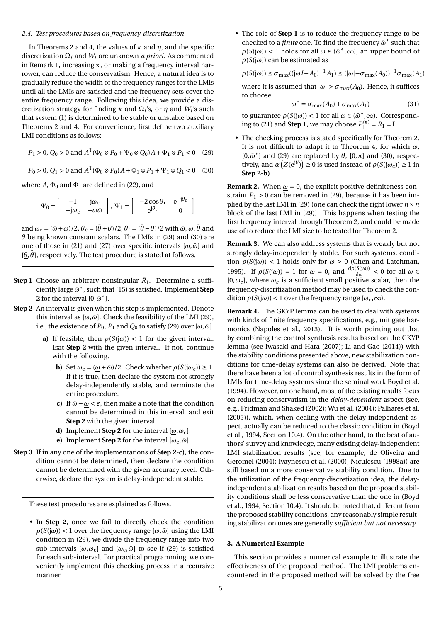#### 2.4. Test procedures based on frequency-discretization

In Theorems 2 and 4, the values of  $\kappa$  and  $\eta$ , and the specific discretization  $\Omega_l$  and  $W_l$  are unknown *a priori*. As commented in Remark 1, increasing  $\kappa$ , or making a frequency interval narrower, can reduce the conservatism. Hence, a natural idea is to gradually reduce the width of the frequency ranges for the LMIs until all the LMIs are satisfied and the frequency sets cover the entire frequency range. Following this idea, we provide a discretization strategy for finding  $\kappa$  and  $\Omega_l$ 's, or  $\eta$  and  $W_l$ 's such that system (1) is determined to be stable or unstable based on Theorems 2 and 4. For convenience, first define two auxiliary LMI conditions as follows:

$$
P_1 > 0
$$
,  $Q_0 > 0$  and  $A^T(\Phi_0 \otimes P_0 + \Psi_0 \otimes Q_0)A + \Phi_1 \otimes P_1 < 0$  (29)

$$
P_0 > 0
$$
,  $Q_1 > 0$  and  $A^T(\Phi_0 \otimes P_0)A + \Phi_1 \otimes P_1 + \Psi_1 \otimes Q_1 < 0$  (30)

where A,  $\Phi_0$  and  $\Phi_1$  are defined in (22), and

$$
\Psi_0 = \begin{bmatrix} -1 & j\omega_c \\ -j\omega_c & -\underline{\omega}\bar{\omega} \end{bmatrix}, \ \Psi_1 = \begin{bmatrix} -2\cos\theta_r & e^{-j\theta_c} \\ e^{j\theta_c} & 0 \end{bmatrix}
$$

and  $\omega_c = (\bar{\omega} + \omega)/2$ ,  $\theta_c = (\bar{\theta} + \theta)/2$ ,  $\theta_r = (\bar{\theta} - \theta)/2$  with  $\bar{\omega}$ ,  $\omega$ ,  $\bar{\theta}$  and  $\theta$  being known constant scalars. The LMIs in (29) and (30) are one of those in (21) and (27) over specific intervals  $[\omega, \bar{\omega}]$  and  $[\theta, \bar{\theta}]$ , respectively. The test procedure is stated at follows.

- **Step 1** Choose an arbitrary nonsingular  $\bar{R}_1$ . Determine a sufficiently large  $\bar{\omega}^*$ , such that (15) is satisfied. Implement Step 2 for the interval  $[0,\bar{\omega}^*]$ .
- **Step 2** An interval is given when this step is implemented. Denote this interval as  $[\omega, \bar{\omega}]$ . Check the feasibility of the LMI (29), i.e., the existence of  $P_0$ ,  $P_1$  and  $Q_0$  to satisfy (29) over  $[\omega, \bar{\omega}]$ .
	- a) If feasible, then  $\rho(S(i\omega)) < 1$  for the given interval. Exit Step 2 with the given interval. If not, continue with the following.
		- **b**) Set  $\omega_c = (\omega + \bar{\omega})/2$ . Check whether  $\rho(S(j\omega_c)) \ge 1$ . If it is true, then declare the system not strongly delay-independently stable, and terminate the entire procedure.
		- c) If  $\bar{\omega} \omega < \varepsilon$ , then make a note that the condition cannot be determined in this interval, and exit Step 2 with the given interval.
		- **d**) Implement **Step 2** for the interval  $[\omega, \omega_c]$ .
		- e) Implement Step 2 for the interval  $[\omega_{\rm c}, \bar{\omega}]$ .
- Step 3 If in any one of the implementations of Step 2-c), the condition cannot be determined, then declare the condition cannot be determined with the given accuracy level. Otherwise, declare the system is delay-independent stable.

These test procedures are explained as follows.

• In Step 2, once we fail to directly check the condition  $\rho(S(i\omega))$  < 1 over the frequency range  $[\omega,\bar{\omega}]$  using the LMI condition in (29), we divide the frequency range into two sub-intervals  $[\omega, \omega_c]$  and  $[\omega_c, \bar{\omega}]$  to see if (29) is satisfied for each sub-interval. For practical programming, we conveniently implement this checking process in a recursive manner.

• The role of Step 1 is to reduce the frequency range to be checked to a *finite* one. To find the frequency  $\bar{\omega}^*$  such that  $\rho(S(j\omega))$  < 1 holds for all  $\omega \in (\bar{\omega}^*, \infty)$ , an upper bound of  $\rho(S(j\omega))$  can be estimated as

$$
\rho(S(j\omega)) \le \sigma_{\text{max}}((j\omega I - A_0)^{-1}A_1) \le (|\omega| - \sigma_{\text{max}}(A_0))^{-1}\sigma_{\text{max}}(A_1)
$$

where it is assumed that  $|\omega| > \sigma_{\text{max}}(A_0)$ . Hence, it suffices to choose

$$
\bar{\omega}^* = \sigma_{\text{max}}(A_0) + \sigma_{\text{max}}(A_1) \tag{31}
$$

to guarantee  $\rho(S(j\omega))$  < 1 for all  $\omega \in (\bar{\omega}^*, \infty)$ . Corresponding to (21) and **Step 1**, we may choose  $P_1^{(k)} = \overline{R}_1 = I$ .

• The checking process is stated specifically for Theorem 2. It is not difficult to adapt it to Theorem 4, for which  $\omega$ ,  $[0,\bar{\omega}^*]$  and (29) are replaced by  $\theta$ ,  $[0,\pi]$  and (30), respectively, and  $\alpha(Z(e^{j\theta})) \ge 0$  is used instead of  $\rho(S(j\omega_c)) \ge 1$  in Step 2-b).

**Remark 2.** When  $\omega = 0$ , the explicit positive definiteness constraint  $P_1 > 0$  can be removed in (29), because it has been implied by the last LMI in (29) (one can check the right lower  $n \times n$ block of the last LMI in (29)). This happens when testing the first frequency interval through Theorem 2, and could be made use of to reduce the LMI size to be tested for Theorem 2.

**Remark 3.** We can also address systems that is weakly but not strongly delay-independently stable. For such systems, condition  $\rho(S(j\omega))$  < 1 holds only for  $\omega > 0$  (Chen and Latchman, 1995). If  $\rho(S(j\omega)) = 1$  for  $\omega = 0$ , and  $\frac{d\rho(S(j\omega))}{d\omega} < 0$  for all  $\omega \in$  $[0, \omega_{\varepsilon}]$ , where  $\omega_{\varepsilon}$  is a sufficient small positive scalar, then the frequency-discritization method may be used to check the condition  $\rho(S(i\omega))$  < 1 over the frequency range  $[\omega_{\epsilon}, \infty)$ .

Remark 4. The GKYP lemma can be used to deal with systems with kinds of finite frequency specifications, e.g., mitigate harmonics (Napoles et al., 2013). It is worth pointing out that by combining the control synthesis results based on the GKYP lemma (see Iwasaki and Hara (2007); Li and Gao (2014)) with the stability conditions presented above, new stabilization conditions for time-delay systems can also be derived. Note that there have been a lot of control synthesis results in the form of LMIs for time-delay systems since the seminal work Boyd et al. (1994). However, on one hand, most of the existing results focus on reducing conservatism in the *delay-dependent* aspect (see, e.g., Fridman and Shaked (2002); Wu et al. (2004); Palhares et al. (2005)), which, when dealing with the delay-independent aspect, actually can be reduced to the classic condition in (Boyd et al., 1994, Section 10.4). On the other hand, to the best of authors' survey and knowledge, many existing delay-independent LMI stabilization results (see, for example, de Oliveira and Geromel (2004); Ivaynescu et al. (2000); Niculescu (1998a)) are still based on a more conservative stability condition. Due to the utilization of the frequency-discretization idea, the delayindependent stabilization results based on the proposed stability conditions shall be less conservative than the one in (Boyd et al., 1994, Section 10.4). It should be noted that, different from the proposed stability conditions, any reasonably simple resulting stabilization ones are generally sufficient but not necessary.

#### 3. A Numerical Example

This section provides a numerical example to illustrate the effectiveness of the proposed method. The LMI problems encountered in the proposed method will be solved by the free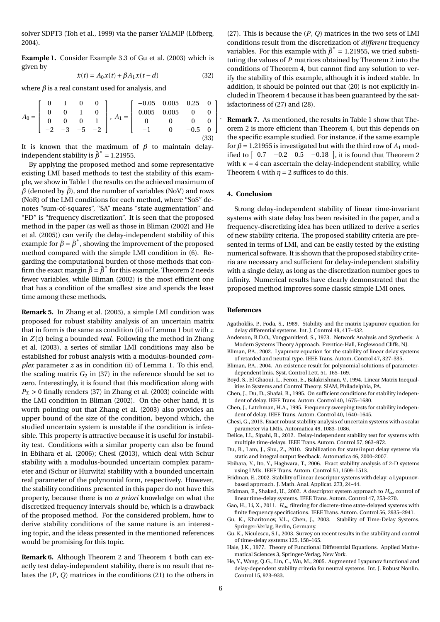solver SDPT3 (Toh et al., 1999) via the parser YALMIP (Löfberg, 2004).

**Example 1.** Consider Example 3.3 of Gu et al. (2003) which is given by

$$
\dot{x}(t) = A_0 x(t) + \beta A_1 x(t - d)
$$
 (32)

where  $\beta$  is a real constant used for analysis, and

$$
A_0 = \begin{bmatrix} 0 & 1 & 0 & 0 \\ 0 & 0 & 1 & 0 \\ 0 & 0 & 0 & 1 \\ -2 & -3 & -5 & -2 \end{bmatrix}, A_1 = \begin{bmatrix} -0.05 & 0.005 & 0.25 & 0 \\ 0.005 & 0.005 & 0 & 0 \\ 0 & 0 & 0 & 0 \\ -1 & 0 & -0.5 & 0 \\ 0 & 0 & 0 & 0 \end{bmatrix}
$$
(33)

It is known that the maximum of  $\beta$  to maintain delayindependent stability is  $\bar{\beta}^* = 1.21955$ .

By applying the proposed method and some representative existing LMI based methods to test the stability of this example, we show in Table 1 the results on the achieved maximum of  $\beta$  (denoted by  $\bar{\beta}$ ), and the number of variables (NoV) and rows (NoR) of the LMI conditions for each method, where "SoS" denotes "sum-of-squares", "SA" means "state augmentation" and "FD" is "frequency discretization". It is seen that the proposed method in the paper (as well as those in Bliman (2002) and He et al. (2005)) can verify the delay-independent stability of this example for  $\bar{\beta} = \bar{\beta}^*$ , showing the improvement of the proposed method compared with the simple LMI condition in (6). Regarding the computational burden of those methods that confirm the exact margin  $\bar{\beta} = \bar{\beta}^*$  for this example, Theorem 2 needs fewer variables, while Bliman (2002) is the most efficient one that has a condition of the smallest size and spends the least time among these methods.

Remark 5. In Zhang et al. (2003), a simple LMI condition was proposed for robust stability analysis of an uncertain matrix that in form is the same as condition (ii) of Lemma 1 but with  $z$ in  $Z(z)$  being a bounded *real*. Following the method in Zhang et al. (2003), a series of similar LMI conditions may also be established for robust analysis with a modulus-bounded complex parameter  $z$  as in condition (ii) of Lemma 1. To this end, the scaling matrix  $G_2$  in (37) in the reference should be set to zero. Interestingly, it is found that this modification along with  $P_{\Sigma} > 0$  finally renders (37) in Zhang et al. (2003) coincide with the LMI condition in Bliman (2002). On the other hand, it is worth pointing out that Zhang et al. (2003) also provides an upper bound of the size of the condition, beyond which, the studied uncertain system is unstable if the condition is infeasible. This property is attractive because it is useful for instability test. Conditions with a similar property can also be found in Ebihara et al. (2006); Chesi (2013), which deal with Schur stability with a modulus-bounded uncertain complex parameter and (Schur or Hurwitz) stability with a bounded uncertain real parameter of the polynomial form, respectively. However, the stability conditions presented in this paper do not have this property, because there is no *a priori* knowledge on what the discretized frequency intervals should be, which is a drawback of the proposed method. For the considered problem, how to derive stability conditions of the same nature is an interesting topic, and the ideas presented in the mentioned references would be promising for this topic.

**Remark 6.** Although Theorem 2 and Theorem 4 both can exactly test delay-independent stability, there is no result that relates the  $(P, Q)$  matrices in the conditions  $(21)$  to the others in

(27). This is because the  $(P, Q)$  matrices in the two sets of LMI conditions result from the discretization of *different* frequency variables. For this example with  $\bar{\beta}^* = 1.21955$ , we tried substituting the values of  $P$  matrices obtained by Theorem 2 into the conditions of Theorem 4, but cannot find any solution to verify the stability of this example, although it is indeed stable. In addition, it should be pointed out that (20) is not explicitly included in Theorem 4 because it has been guaranteed by the satisfactoriness of (27) and (28).

**Remark 7.** As mentioned, the results in Table 1 show that Theorem 2 is more efficient than Theorem 4, but this depends on the specific example studied. For instance, if the same example for  $\beta$  = 1.21955 is investigated but with the third row of  $A_1$  modified to  $\begin{bmatrix} 0.7 & -0.2 & 0.5 & -0.18 \end{bmatrix}$ , it is found that Theorem 2 with  $\kappa = 4$  can ascertain the delay-independent stability, while Theorem 4 with  $\eta$  = 2 suffices to do this.

#### 4. Conclusion

Strong delay-independent stability of linear time-invariant systems with state delay has been revisited in the paper, and a frequency-discretizing idea has been utilized to derive a series of new stability criteria. The proposed stability criteria are presented in terms of LMI, and can be easily tested by the existing numerical software. It is shown that the proposed stability criteria are necessary and sufficient for delay-independent stability with a single delay, as long as the discretization number goes to infinity. Numerical results have clearly demonstrated that the proposed method improves some classic simple LMI ones.

#### References

- Agathoklis, P., Foda, S., 1989. Stability and the matrix Lyapunov equation for delay differential systems. Int. J. Control 49, 417-432.
- Anderson, B.D.O., Vongpanitlerd, S., 1973. Network Analysis and Synthesis: A Modern Systems Theory Approach. Prentice-Hall, Englewood Cliffs, NJ.
- Bliman, P.A., 2002. Lyapunov equation for the stability of linear delay systems of retarded and neutral type. IEEE Trans. Autom. Control 47, 327-335.
- Bliman, P.A., 2004. An existence result for polynomial solutions of parameterdependent lmis. Syst. Control Lett. 51, 165-169.
- Boyd, S., El Ghaoui, L., Feron, E., Balakrishnan, V., 1994. Linear Matrix Inequalities in Systems and Control Theory, SIAM, Philadelphia, PA.
- Chen, J., Du, D., Shafai, B., 1995. On sufficient conditions for stability independent of delay. IEEE Trans. Autom. Control 40, 1675-1680.
- Chen, J., Latchman, H.A., 1995. Frequency sweeping tests for stability independent of delay. IEEE Trans. Autom. Control 40, 1640-1645.
- Chesi, G., 2013. Exact robust stability analysis of uncertain systems with a scalar parameter via LMIs. Automatica 49, 1083-1086.
- Delice, I.I., Sipahi, R., 2012. Delay-independent stability test for systems with multiple time-delays. JEEE Trans. Autom. Control 57, 963-972.
- Du, B., Lam, J., Shu, Z., 2010. Stabilization for state/input delay systems via static and integral output feedback. Automatica 46, 2000-2007.
- Ebihara, Y., Ito, Y., Hagiwara, T., 2006. Exact stability analysis of 2-D systems using LMIs. IEEE Trans. Autom. Control 51, 1509-1513.
- Fridman, E., 2002. Stability of linear descriptor systems with delay: a Lyapunovbased approach. J. Math. Anal. Applicat. 273, 24-44.
- Fridman, E., Shaked, U., 2002. A descriptor system approach to  $H_{\infty}$  control of linear time-delay systems. IEEE Trans. Autom. Control 47, 253-270.
- Gao, H., Li, X., 2011.  $H_{\infty}$  filtering for discrete-time state-delayed systems with finite frequency specifications. IEEE Trans. Autom. Control 56, 2935-2941.
- Gu, K., Kharitonov, V.L., Chen, J., 2003. Stability of Time-Delay Systems. Springer-Verlag, Berlin, Germany.
- Gu, K., Niculescu, S.I., 2003. Survey on recent results in the stability and control of time-delay systems 125, 158-165.
- Hale, J.K., 1977. Theory of Functional Differential Equations. Applied Mathematical Sciences 3, Springer-Verlag, New York.
- He, Y., Wang, Q.G., Lin, C., Wu, M., 2005. Augmented Lyapunov functional and delay-dependent stability criteria for neutral systems. Int. J. Robust Nonlin. Control 15, 923-933.